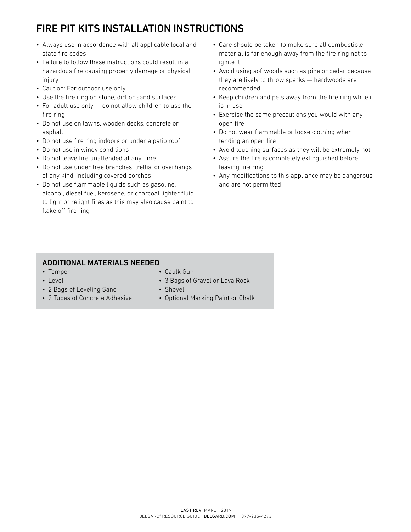## FIRE PIT KITS INSTALLATION INSTRUCTIONS

- Always use in accordance with all applicable local and state fire codes
- Failure to follow these instructions could result in a hazardous fire causing property damage or physical injury
- Caution: For outdoor use only
- Use the fire ring on stone, dirt or sand surfaces
- For adult use only do not allow children to use the fire ring
- Do not use on lawns, wooden decks, concrete or asphalt
- Do not use fire ring indoors or under a patio roof
- Do not use in windy conditions
- Do not leave fire unattended at any time
- Do not use under tree branches, trellis, or overhangs of any kind, including covered porches
- Do not use flammable liquids such as gasoline, alcohol, diesel fuel, kerosene, or charcoal lighter fluid to light or relight fires as this may also cause paint to flake off fire ring
- Care should be taken to make sure all combustible material is far enough away from the fire ring not to ignite it
- Avoid using softwoods such as pine or cedar because they are likely to throw sparks — hardwoods are recommended
- Keep children and pets away from the fire ring while it is in use
- Exercise the same precautions you would with any open fire
- Do not wear flammable or loose clothing when tending an open fire
- Avoid touching surfaces as they will be extremely hot
- Assure the fire is completely extinguished before leaving fire ring
- Any modifications to this appliance may be dangerous and are not permitted

## ADDITIONAL MATERIALS NEEDED

• 2 Bags of Leveling Sand • 2 Tubes of Concrete Adhesive

• Tamper • Level

- Caulk Gun
- 3 Bags of Gravel or Lava Rock
- Shovel
	- Optional Marking Paint or Chalk